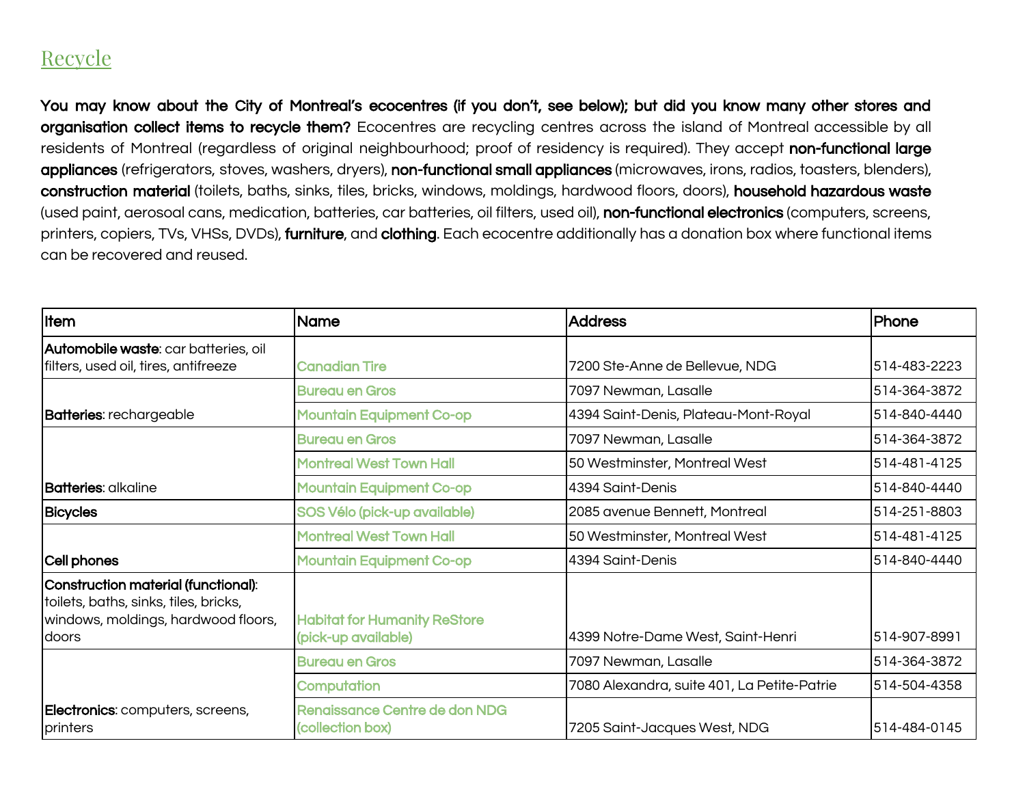## Recycle

You may know about the City of Montreal's ecocentres (if you don't, see below); but did you know many other stores and organisation collect items to recycle them? Ecocentres are recycling centres across the island of Montreal accessible by all residents of Montreal (regardless of original neighbourhood; proof of residency is required). They accept non-functional large appliances (refrigerators, stoves, washers, dryers), non-functional small appliances (microwaves, irons, radios, toasters, blenders), construction material (toilets, baths, sinks, tiles, bricks, windows, moldings, hardwood floors, doors), household hazardous waste (used paint, aerosoal cans, medication, batteries, car batteries, oil filters, used oil), non-functional electronics (computers, screens, printers, copiers, TVs, VHSs, DVDs), furniture, and clothing. Each ecocentre additionally has a donation box where functional items can be recovered and reused.

| <b>Item</b>                                                                                                                         | <b>Name</b>                                                | <b>Address</b>                              | <b>Phone</b> |
|-------------------------------------------------------------------------------------------------------------------------------------|------------------------------------------------------------|---------------------------------------------|--------------|
| <b>Automobile waste:</b> car batteries, oil<br>filters, used oil, tires, antifreeze                                                 | <b>Canadian Tire</b>                                       | 7200 Ste-Anne de Bellevue, NDG              | 514-483-2223 |
|                                                                                                                                     | <b>Bureau en Gros</b>                                      | 7097 Newman, Lasalle                        | 514-364-3872 |
| <b>Batteries:</b> rechargeable                                                                                                      | <b>Mountain Equipment Co-op</b>                            | 4394 Saint-Denis, Plateau-Mont-Royal        | 514-840-4440 |
|                                                                                                                                     | <b>Bureau en Gros</b>                                      | 7097 Newman, Lasalle                        | 514-364-3872 |
|                                                                                                                                     | <b>Montreal West Town Hall</b>                             | 50 Westminster, Montreal West               | 514-481-4125 |
| <b>Batteries</b> : alkaline                                                                                                         | <b>Mountain Equipment Co-op</b>                            | 4394 Saint-Denis                            | 514-840-4440 |
| <b>Bicycles</b>                                                                                                                     | SOS Vélo (pick-up available)                               | 2085 avenue Bennett, Montreal               | 514-251-8803 |
|                                                                                                                                     | Montreal West Town Hall                                    | 50 Westminster, Montreal West               | 514-481-4125 |
| Cell phones                                                                                                                         | <b>Mountain Equipment Co-op</b>                            | l4394 Saint-Denis                           | 514-840-4440 |
| Construction material (functional):<br>toilets, baths, sinks, tiles, bricks,<br>windows, moldings, hardwood floors,<br><b>doors</b> | <b>Habitat for Humanity ReStore</b><br>(pick-up available) | 4399 Notre-Dame West, Saint-Henri           | 514-907-8991 |
|                                                                                                                                     | <b>Bureau en Gros</b>                                      | 7097 Newman, Lasalle                        | 514-364-3872 |
|                                                                                                                                     | Computation                                                | 7080 Alexandra, suite 401, La Petite-Patrie | 514-504-4358 |
| Electronics: computers, screens,<br>printers                                                                                        | Renaissance Centre de don NDG<br>(collection box)          | 7205 Saint-Jacques West, NDG                | 514-484-0145 |